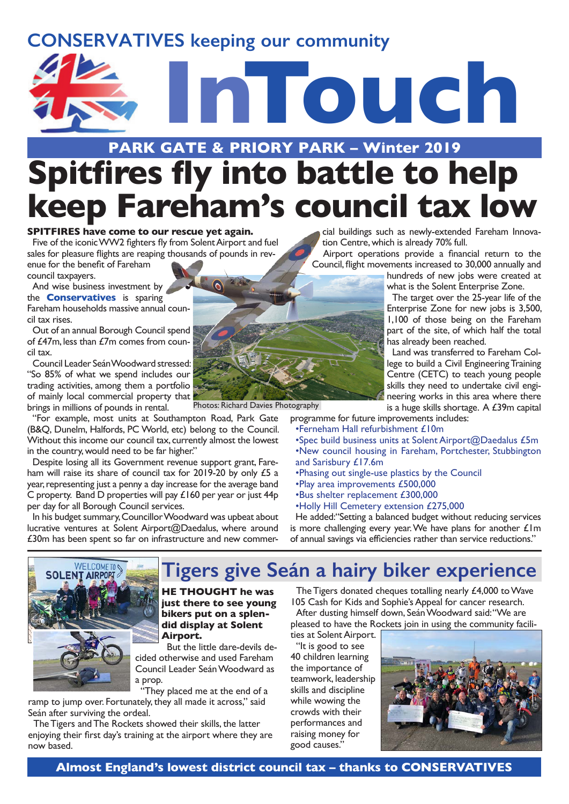# **CONSERVATIVES keeping our community**

# **InTouch**

# **PARK GATE & PRIORY PARK – Winter 2019 Spitfires fly into battle to help keep Fareham's council tax low**

**SPITFIRES have come to our rescue yet again.** Five of the iconic WW2 fighters fly from Solent Airport and fuel sales for pleasure flights are reaping thousands of pounds in revenue for the benefit of Fareham

council taxpayers.

And wise business investment by the **Conservatives** is sparing Fareham households massive annual council tax rises.

Out of an annual Borough Council spend of £47m, less than £7m comes from council tax.

Council Leader Seán Woodward stressed: "So 85% of what we spend includes our trading activities, among them a portfolio of mainly local commercial property that brings in millions of pounds in rental.

"For example, most units at Southampton Road, Park Gate (B&Q, Dunelm, Halfords, PC World, etc) belong to the Council. Without this income our council tax, currently almost the lowest in the country, would need to be far higher."

Despite losing all its Government revenue support grant, Fareham will raise its share of council tax for 2019-20 by only £5 a year, representing just a penny a day increase for the average band C property. Band D properties will pay £160 per year or just 44p per day for all Borough Council services.

In his budget summary, Councillor Woodward was upbeat about lucrative ventures at Solent Airport@Daedalus, where around £30m has been spent so far on infrastructure and new commer-

Photos: Richard Davies Photography

cial buildings such as newly-extended Fareham Innovation Centre, which is already 70% full.

Airport operations provide a financial return to the Council, flight movements increased to 30,000 annually and hundreds of new jobs were created at

what is the Solent Enterprise Zone.

The target over the 25-year life of the Enterprise Zone for new jobs is 3,500, 1,100 of those being on the Fareham part of the site, of which half the total has already been reached.

Land was transferred to Fareham College to build a Civil Engineering Training Centre (CETC) to teach young people skills they need to undertake civil engineering works in this area where there is a huge skills shortage. A £39m capital

programme for future improvements includes: •Ferneham Hall refurbishment £10m

- 
- •Spec build business units at Solent Airport@Daedalus £5m •New council housing in Fareham, Portchester, Stubbington and Sarisbury £17.6m
- •Phasing out single-use plastics by the Council
- •Play area improvements £500,000
- •Bus shelter replacement £300,000

### •Holly Hill Cemetery extension £275,000

He added:"Setting a balanced budget without reducing services is more challenging every year. We have plans for another  $£1m$ of annual savings via efficiencies rather than service reductions."



**Tigers give Seán a hairy biker experience**

**HE THOUGHT he was just there to see young bikers put on a splendid display at Solent Airport.**

But the little dare-devils decided otherwise and used Fareham Council Leader Seán Woodward as a prop.

"They placed me at the end of a ramp to jump over. Fortunately, they all made it across," said Seán after surviving the ordeal.

The Tigers and The Rockets showed their skills, the latter enjoying their first day's training at the airport where they are now based.

The Tigers donated cheques totalling nearly £4,000 to Wave 105 Cash for Kids and Sophie's Appeal for cancer research. After dusting himself down, Seán Woodward said: "We are pleased to have the Rockets join in using the community facili-

ties at Solent Airport. "It is good to see 40 children learning the importance of teamwork, leadership skills and discipline while wowing the crowds with their performances and raising money for good causes."



**Almost England's lowest district council tax – thanks to CONSERVATIVES**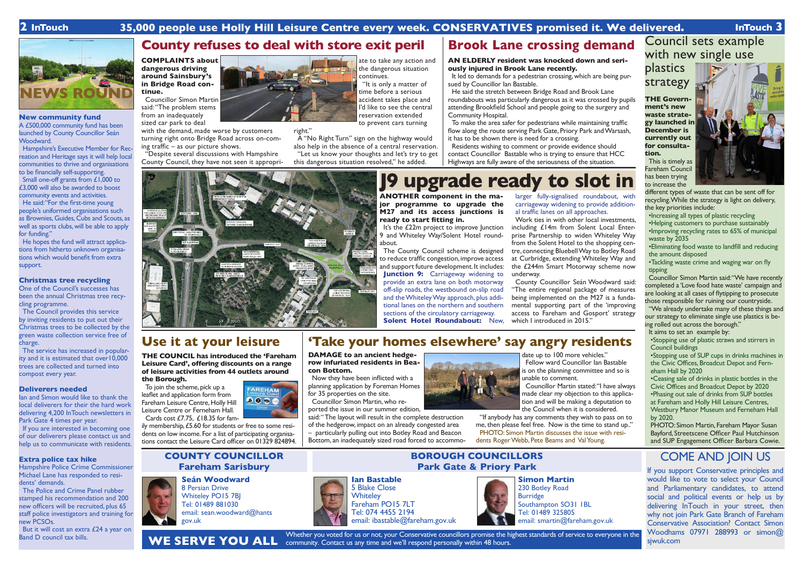**New community fund** A £500,000 community fund has been launched by County Councillor Seán

Woodward.

Hampshire's Executive Member for Recreation and Heritage says it will help local communities to thrive and organisations

to be financially self-supporting. Small one-off grants from £1,000 to £3,000 will also be awarded to boost community events and activities. He said: "For the first-time young people's uniformed organisations such as Brownies, Guides, Cubs and Scouts, as well as sports clubs, will be able to apply

for funding."

He hopes the fund will attract applications from hitherto unknown organisations which would benefit from extra

support.

**Christmas tree recycling** One of the Council's successes has been the annual Christmas tree recy-

cling programme.

The Council provides this service by inviting residents to put out their Christmas trees to be collected by the green waste collection service free of

charge.

The service has increased in popularity and it is estimated that over10,000 trees are collected and turned into

# **BOROUGH COUNCILLORS Park Gate & Priory Park COME AND JOIN US**<br> **Park Gate & Priory Park** Entertainment of the US of the US of the US of the US of the US of the US of the US of the US of the US of the US of the US of the US of the US of the U

compost every year.

**Deliverers needed**

Ian and Simon would like to thank the local deliverers for their the hard work delivering 4,200 InTouch newsletters in

> **Ian Bastable** 5 Blake Close **Whiteley**

Park Gate 4 times per year.

Fareham PO15 7LT Tel: 074 4455 2194

Band D council tax bills. When you voted for us or not, your Conservative councillors promise the highest standards of service to everyone in the email: ibastable@fareham.gov.uk

If you are interested in becoming one of our deliverers please contact us and help us to communicate with residents.

**Extra police tax hike**

Hampshire Police Crime Commissioner Michael Lane has responded to resi-

dents' demands.

The Police and Crime Panel rubber stamped his recommendation and 200 new officers will be recruited, plus 65 staff police investigators and training for

But it will cost an extra £24 a year on

new PCSOs.

for 35 properties on the site. Councillor Simon Martin, who reported the issue in our summer edition, said: "The layout will result in the complete destruction

### **Seán Woodward**

8 Persian Drive Whiteley PO15 7BJ Tel: 01489 881030 email: sean.woodward@hants gov.uk



## **COUNTY COUNCILLOR Fareham Sarisbury**

community. Contact us any time and we'll respond personally within 48 hours. **WE SERVE YOU ALL**

If you support Conservative principles and would like to vote to select your Council and Parliamentary candidates, to attend social and political events or help us by delivering InTouch in your street, then why not join Park Gate Branch of Fareham Conservative Association? Contact Simon Woodhams 07971 288993 or simon@ sjwuk.com

"It is only a matter of time before a serious accident takes place and I'd like to see the central reservation extended to prevent cars turning

# **2 InTouch 35,000 people use Holly Hill Leisure Centre every week. CONSERVATIVES promised it. We delivered. InTouch 3**

**NEWS ROUND**

# **Use it at your leisure**

**THE COUNCIL has introduced the 'Fareham Leisure Card', offering discounts on a range of leisure activities from 44 outlets around the Borough.**

To join the scheme, pick up a leaflet and application form from Fareham Leisure Centre, Holly Hill Leisure Centre or Ferneham Hall. Cards cost £7.75, £18.35 for fam-



# Council sets example with new single use

ily membership, £5.60 for students or free to some residents on low income. For a list of participating organisations contact the Leisure Card officer on 01329 824894.



**DAMAGE to an ancient hedgerow infuriated residents in Bea-**

**con Bottom.** Now they have been inflicted with a

planning application by Foreman Homes

of the hedgerow, impact on an already congested area – particularly pulling out into Botley Road and Beacon Bottom, an inadequately sized road forced to accommodate up to 100 more vehicles." Fellow ward Councillor Ian Bastable is on the planning committee and so is unable to comment.

which I introduced in 2015."

It's the £22m project to improve Junction 9 and Whiteley Way/Solent Hotel round-

Councillor Martin stated: "I have always

made clear my objection to this application and will be making a deputation to

the Council when it is considered.

"If anybody has any comments they wish to pass on to me, then please feel free. Now is the time to stand up.." PHOTO: Simon Martin discusses the issue with residents Roger Webb, Pete Beams and Val Young.

**COMPLAINTS about dangerous driving around Sainsbury's in Bridge Road continue.**

Councillor Simon Martin said: "The problem stems from an inadequately sized car park to deal

with the demand, made worse by customers turning right onto Bridge Road across on-coming traffic – as our picture shows.

"Despite several discussions with Hampshire

County Council, they have not seen it appropri-

ate to take any action and the dangerous situation continues.

right."

A "No Right Turn" sign on the highway would also help in the absence of a central reservation. "Let us know your thoughts and let's try to get this dangerous situation resolved," he added.



### **AN ELDERLY resident was knocked down and seriously injured in Brook Lane recently.**

It led to demands for a pedestrian crossing, which are being pursued by Councillor Ian Bastable.

He said the stretch between Bridge Road and Brook Lane roundabouts was particularly dangerous as it was crossed by pupils attending Brookfield School and people going to the surgery and Community Hospital.

To make the area safer for pedestrians while maintaining traffic flow along the route serving Park Gate, Priory Park and Warsash, it has to be shown there is need for a crossing.

Residents wishing to comment or provide evidence should contact Councillor Bastable who is trying to ensure that HCC Highways are fully aware of the seriousness of the situation.



230 Botley Road Burridge Southampton SO31 1BL Tel: 01489 325805 email: smartin@fareham.gov.uk

plastics strategy

**THE Government's new waste strategy launched in December is currently out for consultation.** 

This is timely as Fareham Council has been trying to increase the



different types of waste that can be sent off for recycling. While the strategy is light on delivery, the key priorities include:

•Increasing all types of plastic recycling •Helping customers to purchase sustainably •Improving recycling rates to 65% of municipal waste by 2035

•Eliminating food waste to landfill and reducing the amount disposed

•Tackling waste crime and waging war on fly tipping

Councillor Simon Martin said: "We have recently completed a 'Love food hate waste' campaign and are looking at all cases of flytipping to prosecute those responsible for ruining our countryside.

"We already undertake many of these things and our strategy to eliminate single use plastics is being rolled out across the borough."

It aims to set an example by:

•Stopping use of plastic straws and stirrers in Council buildings

•Stopping use of SUP cups in drinks machines in the Civic Offices, Broadcut Depot and Ferneham Hall by 2020

•Ceasing sale of drinks in plastic bottles in the Civic Offices and Broadcut Depot by 2020 •Phasing out sale of drinks from SUP bottles at Fareham and Holly Hill Leisure Centres, Westbury Manor Museum and Ferneham Hall by 2020.

PHOTO: Simon Martin, Fareham Mayor Susan Bayford, Streetscene Officer Paul Hutchinson and SUP Engagement Officer Barbara Cowie.



**ANOTHER component in the major programme to upgrade the M27 and its access junctions is** 

**ready to start fitting in.**

about.

The County Council scheme is designed to reduce traffic congestion, improve access and support future development. It includes: **Junction 9:** Carriageway widening to provide an extra lane on both motorway off-slip roads, the westbound on-slip road and the Whiteley Way approach, plus additional lanes on the northern and southern sections of the circulatory carriageway. **Solent Hotel Roundabout:** New,

larger fully-signalised roundabout, with carriageway widening to provide additional traffic lanes on all approaches.

Work ties in with other local investments, including £14m from Solent Local Enterprise Partnership to widen Whiteley Way from the Solent Hotel to the shopping centre, connecting Bluebell Way to Botley Road at Curbridge, extending Whiteley Way and the £244m Smart Motorway scheme now

underway.



County Councillor Seán Woodward said: "The entire regional package of measures being implemented on the M27 is a fundamental supporting part of the 'improving access to Fareham and Gosport' strategy